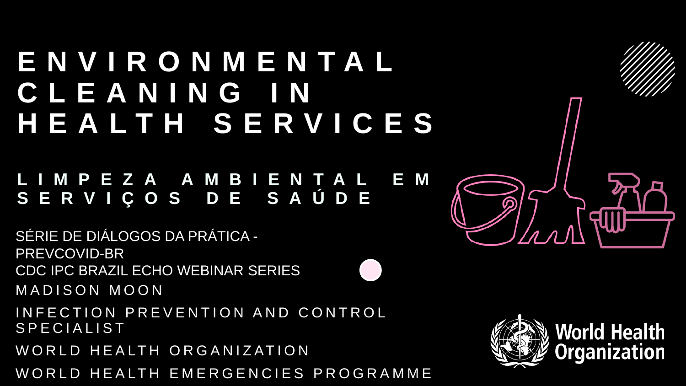#### **ENVIRONMENTAL CLEANING IN HEALTH SERVICES**

#### **LIMPEZA AMBIENTAL E M SERVIÇOS DE SAÚDE**

MADISON MOON INFECTION PREVENTION AND CONTROL SPECIALIST WORLD HEALTH ORGANIZATION SÉRIE DE DIÁLOGOS DA PRÁTICA - PREVCOVID-BR CDC IPC BRAZIL ECHO WEBINAR SERIES

WORLD HEALTH EMERGENCIES PROGRAMME



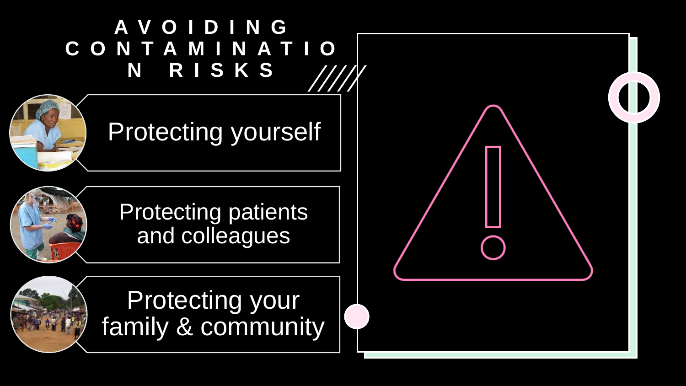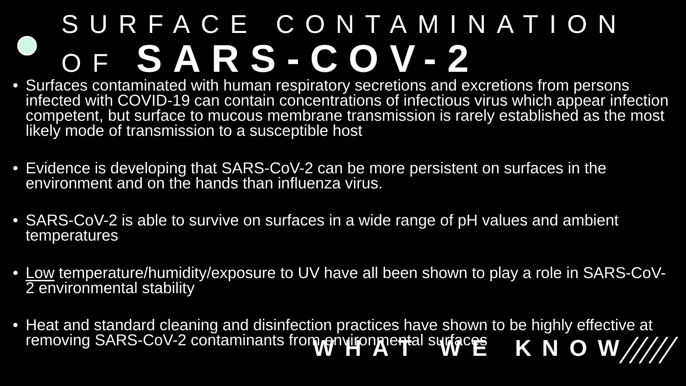#### SURFACE CONTAMINATION OF **SARS - COV - 2**

- Surfaces contaminated with human respiratory secretions and excretions from persons infected with COVID-19 can contain concentrations of infectious virus which appear infection competent, but surface to mucous membrane transmission is rarely established as the most likely mode of transmission to a susceptible host
- Evidence is developing that SARS-CoV-2 can be more persistent on surfaces in the environment and on the hands than influenza virus.
- SARS-CoV-2 is able to survive on surfaces in a wide range of pH values and ambient temperatures
- Low temperature/humidity/exposure to UV have all been shown to play a role in SARS-CoV- 2 environmental stability
- Heat and standard cleaning and disinfection practices have shown to be highly effective at removing SARS-CoV-2 contaminants from environmental surfaces **KNOW////**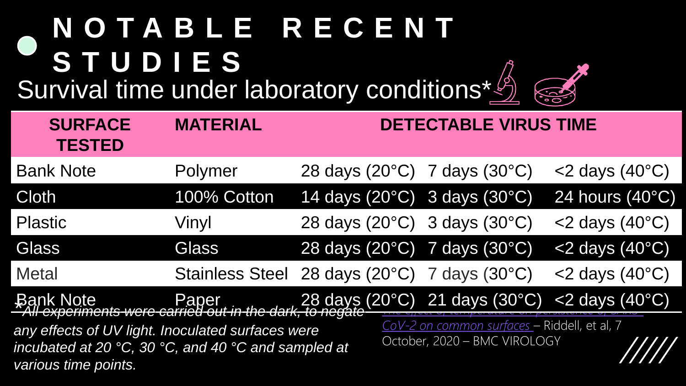#### **NOTABLE RECENT STUDIES** Survival time under laboratory conditions\*

| <b>SURFACE</b><br><b>TESTED</b>                                                                                                                                                                    | <b>MATERIAL</b>                              | <b>DETECTABLE VIRUS TIME</b>                                                       |                                 |
|----------------------------------------------------------------------------------------------------------------------------------------------------------------------------------------------------|----------------------------------------------|------------------------------------------------------------------------------------|---------------------------------|
| <b>Bank Note</b>                                                                                                                                                                                   | Polymer                                      | 28 days $(20^{\circ}C)$ 7 days $(30^{\circ}C)$                                     | $<$ 2 days (40 $^{\circ}$ C)    |
| <b>Cloth</b>                                                                                                                                                                                       | 100% Cotton                                  | 14 days $(20^{\circ}C)$ 3 days $(30^{\circ}C)$                                     | 24 hours $(40^{\circ}$ C)       |
| <b>Plastic</b>                                                                                                                                                                                     | Vinyl                                        | 28 days $(20^{\circ}C)$ 3 days $(30^{\circ}C)$                                     | $<$ 2 days (40 $^{\circ}$ C)    |
| <b>Glass</b>                                                                                                                                                                                       | <b>Glass</b>                                 | 28 days (20°C) 7 days (30°C)                                                       | <2 days (40°C)                  |
| <b>Metal</b>                                                                                                                                                                                       | Stainless Steel 28 days (20°C) 7 days (30°C) |                                                                                    | $<$ 2 days (40 $^{\circ}$ C)    |
| <b>Bank Note</b>                                                                                                                                                                                   |                                              | Paper 28 days (20°C) 21 days (30°C)<br>Ats were carried out in the dark, to negate | $<$ 2 days (40 $\rm ^{\circ}C)$ |
| 7371 <del>-CX<i>DCT111</i>2</del> 1<br>any effects of UV light. Inoculated surfaces were<br>incubated at 20 $\degree$ C, 30 $\degree$ C, and 40 $\degree$ C and sampled at<br>various time points. |                                              | CoV-2 on common surfaces - Riddell, et al, 7<br>October, 2020 - BMC VIROLOGY       |                                 |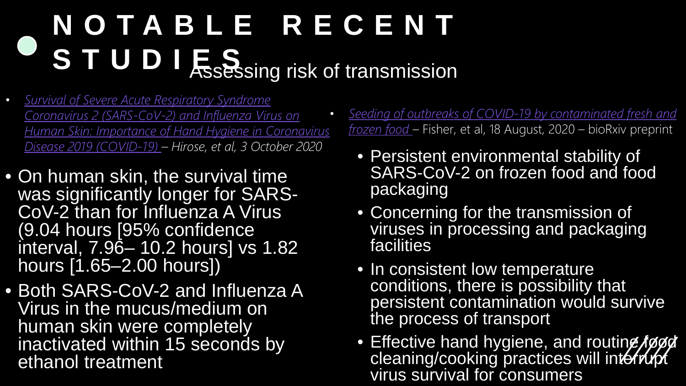#### **NOTABLE RECENT STUDIES** Assessing risk of transmission

- *Survival of Severe Acute Respiratory Syndrome Coronavirus 2 (SARS-CoV-2) and Influenza Virus on [Human Skin: Importance of Hand Hygiene in Coronavirus](https://academic.oup.com/cid/advance-article/doi/10.1093/cid/ciaa1517/5917611) Disease 2019 (COVID-19) – Hirose, et al, 3 October 2020*
- On human skin, the survival time was significantly longer for SARS-<br>CoV-2 than for Influenza A Virus (9.04 hours [95% confidence interval, 7.96– 10.2 hours] vs 1.82 hours [1.65–2.00 hours])
- Both SARS-CoV-2 and Influenza A Virus in the mucus/medium on human skin were completely inactivated within 15 seconds by ethanol treatment
- *[Seeding of outbreaks of COVID-19 by contaminated fresh and](https://www.biorxiv.org/content/10.1101/2020.08.17.255166v1.full.pdf)  frozen food –* Fisher, et al, 18 August, 2020 – bioRxiv preprint
	- Persistent environmental stability of SARS-CoV-2 on frozen food and food packaging
	- Concerning for the transmission of viruses in processing and packaging facilities
	- In consistent low temperature conditions, there is possibility that persistent contamination would survive the process of transport
	- Effective hand hygiene, and routine food cleaning/cooking practices will interrupt virus survival for consumers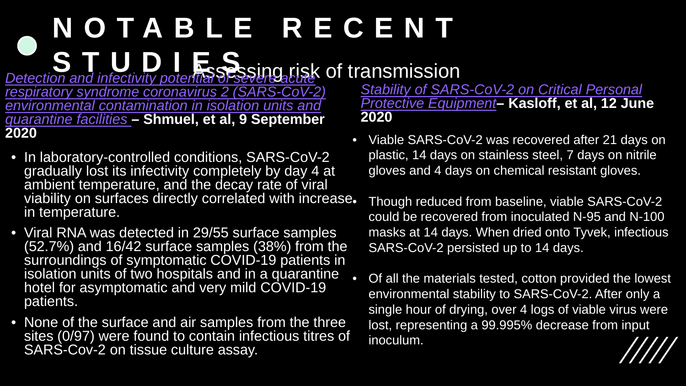#### **Detection and infectivity potential of several plays of transmission NOTABLE RECENT S**<br>an and infectivity potential SPS

*[respiratory syndrome coronavirus 2 \(SARS-CoV-2\)](https://www.clinicalmicrobiologyandinfection.com/article/S1198-743X(20)30532-2/fulltext) environmental contamination in isolation units and quarantine facilities* **– Shmuel, et al, 9 September 2020**

- In laboratory-controlled conditions, SARS-CoV-2 gradually lost its infectivity completely by day 4 at ambient temperature, and the decay rate of viral viability on surfaces directly correlated with increase. in temperature.
- Viral RNA was detected in 29/55 surface samples (52.7%) and 16/42 surface samples (38%) from the surroundings of symptomatic COVID-19 patients in isolation units of two hospitals and in a quarantine hotel for asymptomatic and very mild COVID-19 patients.
- None of the surface and air samples from the three sites (0/97) were found to contain infectious titres of SARS-Cov-2 on tissue culture assay.

*[Stability of SARS-CoV-2 on Critical Personal](https://www.researchgate.net/publication/342141727_Stability_of_SARS-CoV-2_on_Critical_Personal_Protective_Equipment)  Protective Equipment***– Kasloff, et al, 12 June 2020**

• Viable SARS-CoV-2 was recovered after 21 days on plastic, 14 days on stainless steel, 7 days on nitrile gloves and 4 days on chemical resistant gloves.

• Though reduced from baseline, viable SARS-CoV-2 could be recovered from inoculated N-95 and N-100 masks at 14 days. When dried onto Tyvek, infectious SARS-CoV-2 persisted up to 14 days.

• Of all the materials tested, cotton provided the lowest environmental stability to SARS-CoV-2. After only a single hour of drying, over 4 logs of viable virus were lost, representing a 99.995% decrease from input inoculum.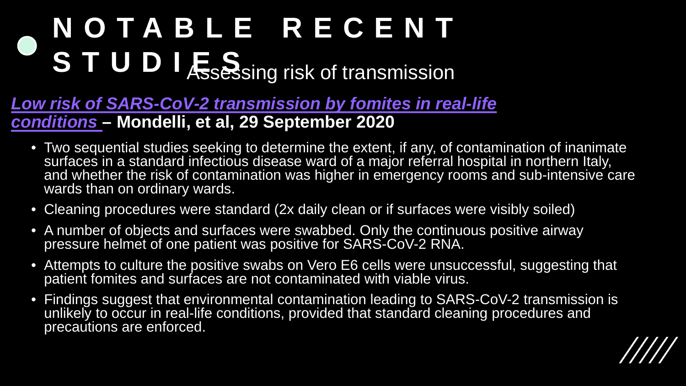## S T U D I **E**S Ssing risk of transmission **NOTABLE RECENT**

- *[Low risk of SARS-CoV-2 transmission by fomites in real-life](https://www.thelancet.com/journals/laninf/article/PIIS1473-3099(20)30678-2/fulltext) conditions* **– Mondelli, et al, 29 September 2020**
	- Two sequential studies seeking to determine the extent, if any, of contamination of inanimate surfaces in a standard infectious disease ward of a major referral hospital in northern Italy, and whether the risk of contamination was higher in emergency rooms and sub-intensive care wards than on ordinary wards.
	- Cleaning procedures were standard (2x daily clean or if surfaces were visibly soiled)
	- A number of objects and surfaces were swabbed. Only the continuous positive airway pressure helmet of one patient was positive for SARS-CoV-2 RNA.
	- Attempts to culture the positive swabs on Vero E6 cells were unsuccessful, suggesting that patient fomites and surfaces are not contaminated with viable virus.
	- Findings suggest that environmental contamination leading to SARS-CoV-2 transmission is unlikely to occur in real-life conditions, provided that standard cleaning procedures and precautions are enforced.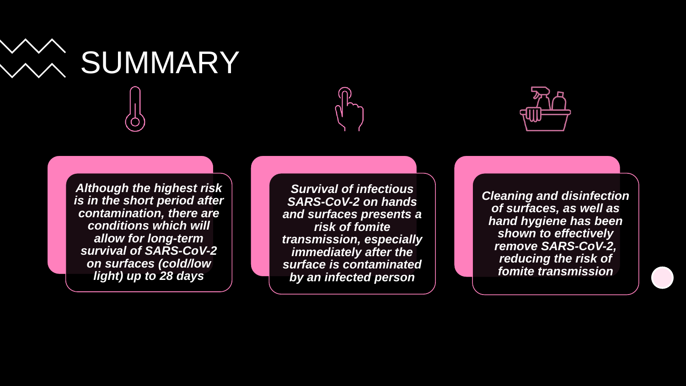



*Although the highest risk is in the short period after contamination, there are conditions which will allow for long-term survival of SARS-CoV-2 on surfaces (cold/low light) up to 28 days*

*Survival of infectious SARS-CoV-2 on hands and surfaces presents a risk of fomite transmission, especially immediately after the surface is contaminated by an infected person*



*Cleaning and disinfection of surfaces, as well as hand hygiene has been shown to effectively remove SARS-CoV-2, reducing the risk of fomite transmission*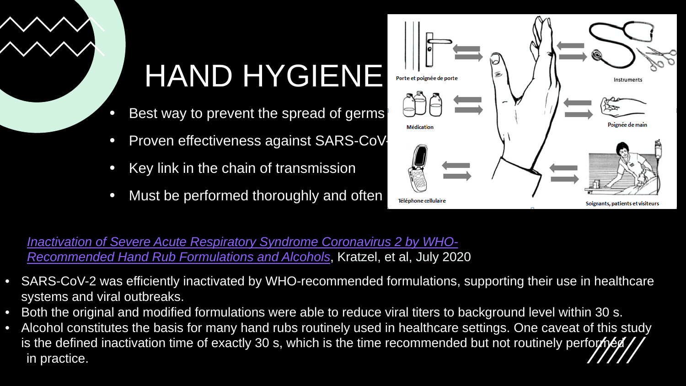

## HAND HYGIENE

- Best way to prevent the spread of germs
- Proven effectiveness against SARS-CoV-
- Key link in the chain of transmission
- Must be performed thoroughly and often



*[Inactivation of Severe Acute Respiratory Syndrome Coronavirus 2 by WHO-](https://wwwnc.cdc.gov/eid/article/26/7/20-0915_article)Recommended Hand Rub Formulations and Alcohols*, Kratzel, et al, July 2020

- SARS-CoV-2 was efficiently inactivated by WHO-recommended formulations, supporting their use in healthcare systems and viral outbreaks.
- Both the original and modified formulations were able to reduce viral titers to background level within 30 s.
- Alcohol constitutes the basis for many hand rubs routinely used in healthcare settings. One caveat of this study is the defined inactivation time of exactly 30 s, which is the time recommended but not routinely performed in practice.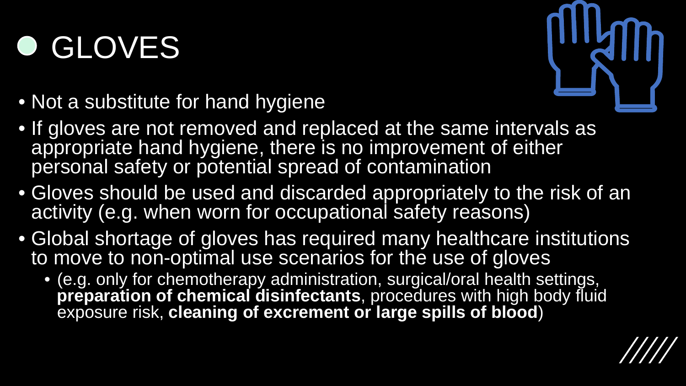## **O GLOVES**



- Not a substitute for hand hygiene
- If gloves are not removed and replaced at the same intervals as appropriate hand hygiene, there is no improvement of either personal safety or potential spread of contamination
- Gloves should be used and discarded appropriately to the risk of an activity (e.g. when worn for occupational safety reasons)
- Global shortage of gloves has required many healthcare institutions to move to non-optimal use scenarios for the use of gloves
	- (e.g. only for chemotherapy administration, surgical/oral health settings, **preparation of chemical disinfectants**, procedures with high body fluid exposure risk, **cleaning of excrement or large spills of blood**)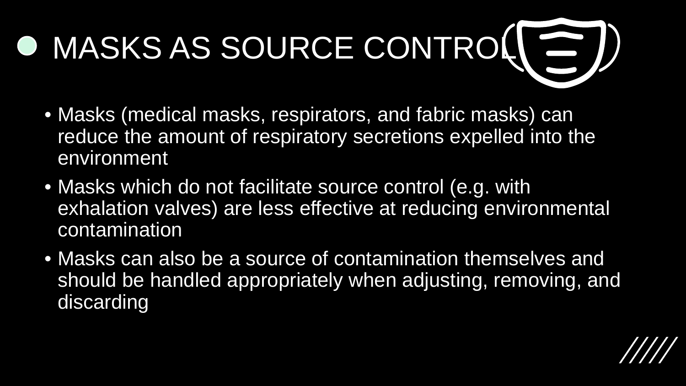# O MASKS AS SOURCE CONTROL ( = )

- Masks (medical masks, respirators, and fabric masks) can reduce the amount of respiratory secretions expelled into the environment
- Masks which do not facilitate source control (e.g. with exhalation valves) are less effective at reducing environmental contamination
- Masks can also be a source of contamination themselves and should be handled appropriately when adjusting, removing, and discarding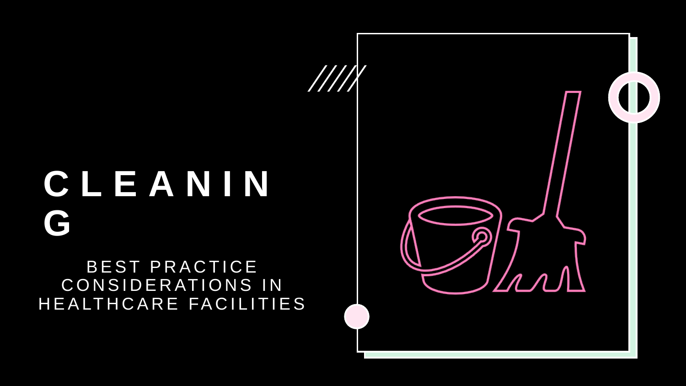## **CLEANIN G**

#### BEST PRACTICE CONSIDERATIONS IN HEALTHCARE FACILITIES

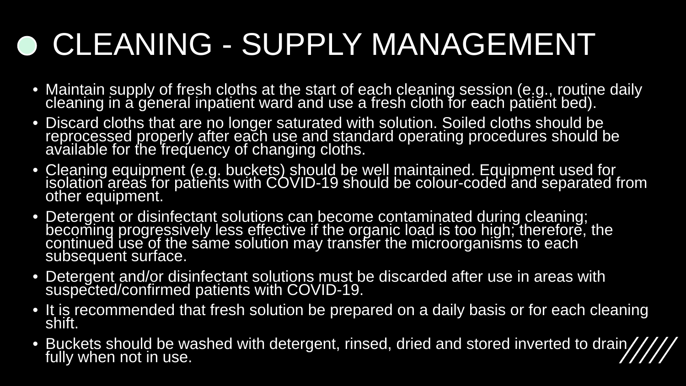## CLEANING - SUPPLY MANAGEMENT

- Maintain supply of fresh cloths at the start of each cleaning session (e.g., routine daily cleaning in a general inpatient ward and use a fresh cloth for each patient bed).
- Discard cloths that are no longer saturated with solution. Soiled cloths should be reprocessed properly after each use and standard operating procedures should be available for the frequency of changing cloths.
- Cleaning equipment (e.g. buckets) should be well maintained. Equipment used for isolation areas for patients with COVID-19 should be colour-coded and separated from<br>other equipment.
- Detergent or disinfectant solutions can become contaminated during cleaning; becoming progressively less effective if the organic load is too high; therefore, the continued use of the same solution may transfer the microorganisms to each subsequent surface.
- Detergent and/or disinfectant solutions must be discarded after use in areas with suspected/confirmed patients with COVID-19.
- It is recommended that fresh solution be prepared on a daily basis or for each cleaning shift.
- Buckets should be washed with detergent, rinsed, dried and stored inverted to drain, fully when not in use.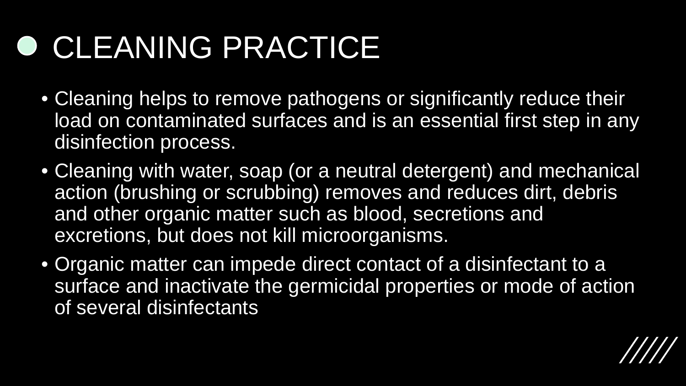#### **O CLEANING PRACTICE**

- Cleaning helps to remove pathogens or significantly reduce their load on contaminated surfaces and is an essential first step in any disinfection process.
- Cleaning with water, soap (or a neutral detergent) and mechanical action (brushing or scrubbing) removes and reduces dirt, debris and other organic matter such as blood, secretions and excretions, but does not kill microorganisms.
- Organic matter can impede direct contact of a disinfectant to a surface and inactivate the germicidal properties or mode of action of several disinfectants

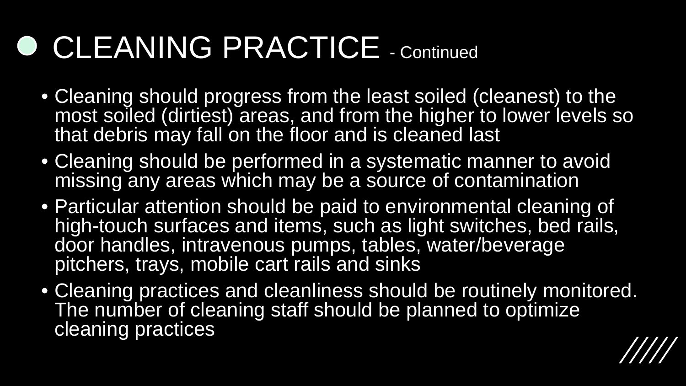#### ● CLEANING PRACTICE - Continued

- Cleaning should progress from the least soiled (cleanest) to the most soiled (dirtiest) areas, and from the higher to lower levels so that debris may fall on the floor and is cleaned last
- Cleaning should be performed in a systematic manner to avoid missing any areas which may be a source of contamination
- Particular attention should be paid to environmental cleaning of high-touch surfaces and items, such as light switches, bed rails, door handles, intravenous pumps, tables, water/beverage pitchers, trays, mobile cart rails and sinks
- Cleaning practices and cleanliness should be routinely monitored. The number of cleaning staff should be planned to optimize cleaning practices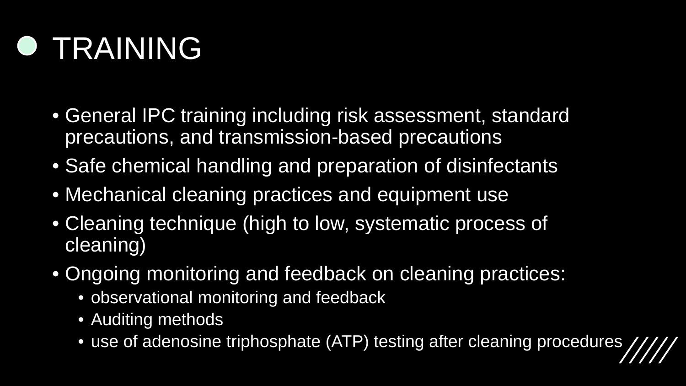#### **O TRAINING**

- General IPC training including risk assessment, standard precautions, and transmission-based precautions
- Safe chemical handling and preparation of disinfectants
- Mechanical cleaning practices and equipment use
- Cleaning technique (high to low, systematic process of cleaning)
- Ongoing monitoring and feedback on cleaning practices:
	- observational monitoring and feedback
	- Auditing methods
	- use of adenosine triphosphate (ATP) testing after cleaning procedures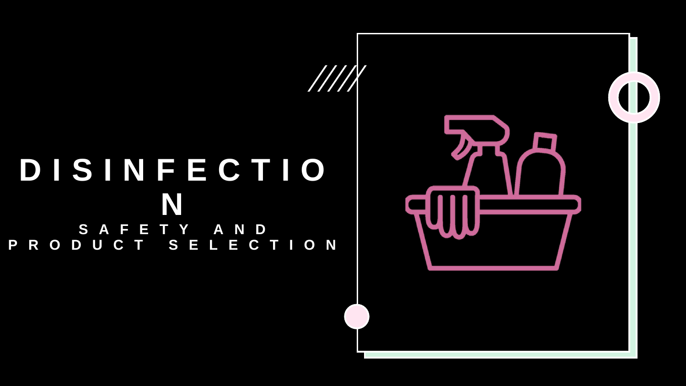#### **DISINFECTIO N SAFETY AND PRODUCT SELECTION**

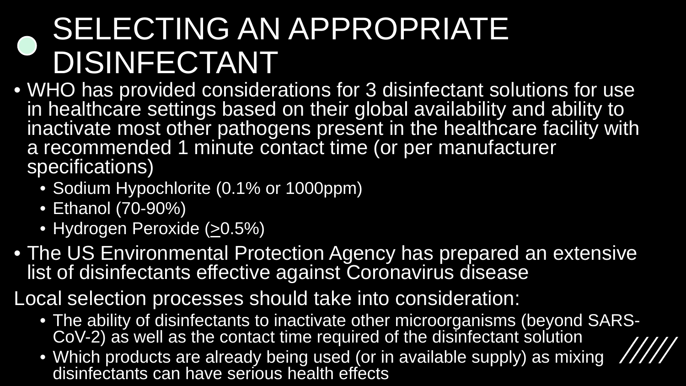#### SELECTING AN APPROPRIATE DISINFECTANT

- WHO has provided considerations for 3 disinfectant solutions for use in healthcare settings based on their global availability and ability to inactivate most other pathogens present in the healthcare facility with a recommended 1 minute contact time (or per manufacturer specifications)
	- Sodium Hypochlorite (0.1% or 1000ppm)
	- Ethanol (70-90%)
	- Hydrogen Peroxide (>0.5%)
- The US Environmental Protection Agency has prepared an extensive list of disinfectants effective against Coronavirus disease
- Local selection processes should take into consideration:
	- The ability of disinfectants to inactivate other microorganisms (beyond SARS-<br>CoV-2) as well as the contact time required of the disinfectant solution
	- Which products are already being used (or in available supply) as mixing disinfectants can have serious health effects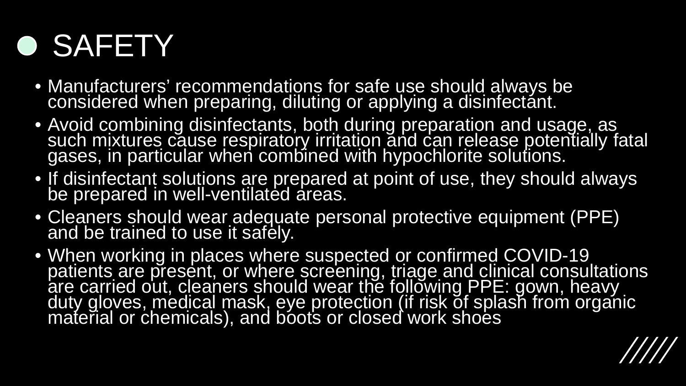#### **O SAFETY**

- Manufacturers' recommendations for safe use should always be considered when preparing, diluting or applying a disinfectánt.
- Avoid combining disinfectants, both during preparation and usage, as such mixtures cause respiratory irritation and can release potentially fatal gases, in particular when combined with hypochlorite solutions.
- If disinfectant solutions are prepared at point of use, they should always be prepared in well-ventilated areas.
- Cleaners should wear adequate personal protective equipment (PPE) and be trained to use it safely.
- When working in places where suspected or confirmed COVID-19 patients are present, or where screening, triage and clinical consultations are carried out, cleaners should wear the following PPE: gown, heavy duty gloves, medical mask, eye protection (if risk of splash from organic material or chemicals), and boots or closed work shoes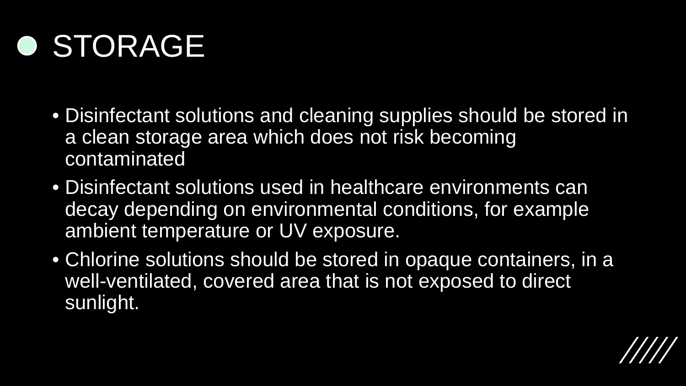#### **O STORAGE**

- Disinfectant solutions and cleaning supplies should be stored in a clean storage area which does not risk becoming contaminated
- Disinfectant solutions used in healthcare environments can decay depending on environmental conditions, for example ambient temperature or UV exposure.
- Chlorine solutions should be stored in opaque containers, in a well-ventilated, covered area that is not exposed to direct sunlight.

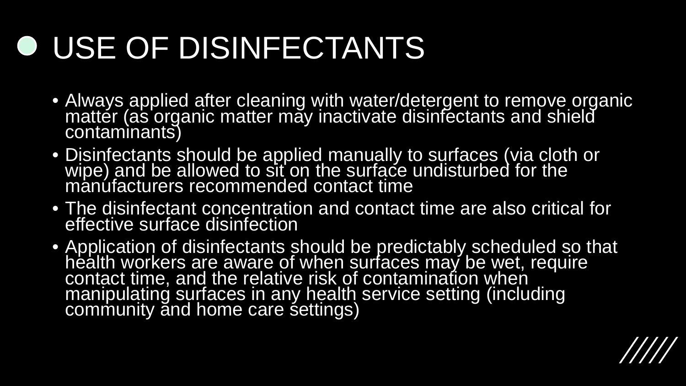## USE OF DISINFECTANTS

- Always applied after cleaning with water/detergent to remove organic matter (as organic matter may inactivate disinfectants and shield contaminants)
- Disinfectants should be applied manually to surfaces (via cloth or wipe) and be allowed to sit on the surface undisturbed for the manúfacturers recommended contact time
- The disinfectant concentration and contact time are also critical for effective surface disinfection
- Application of disinfectants should be predictably scheduled so that health workers are aware of when surfaces may be wet, require contact time, and the relative risk of contamination when manipulating surfaces in any health service setting (including community and home care settings)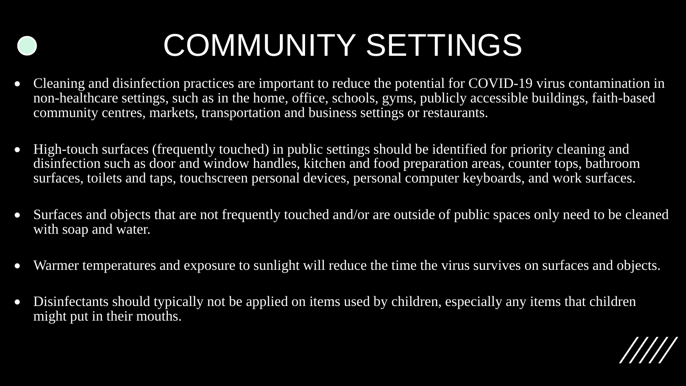## COMMUNITY SETTINGS

- Cleaning and disinfection practices are important to reduce the potential for COVID-19 virus contamination in non-healthcare settings, such as in the home, office, schools, gyms, publicly accessible buildings, faith-based community centres, markets, transportation and business settings or restaurants.
- High-touch surfaces (frequently touched) in public settings should be identified for priority cleaning and disinfection such as door and window handles, kitchen and food preparation areas, counter tops, bathroom surfaces, toilets and taps, touchscreen personal devices, personal computer keyboards, and work surfaces.
- Surfaces and objects that are not frequently touched and/or are outside of public spaces only need to be cleaned with soap and water.
- Warmer temperatures and exposure to sunlight will reduce the time the virus survives on surfaces and objects.
- Disinfectants should typically not be applied on items used by children, especially any items that children might put in their mouths.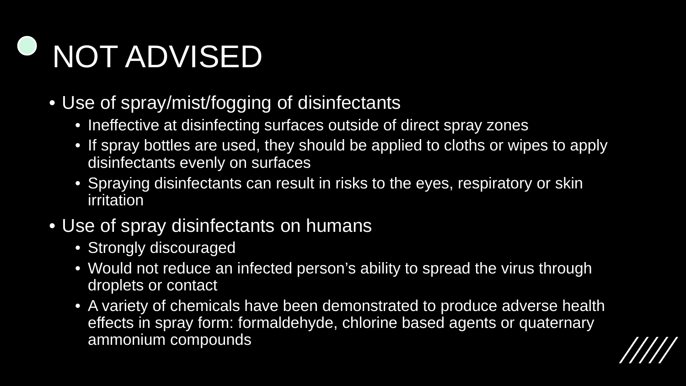# NOT ADVISED

- Use of spray/mist/fogging of disinfectants
	- Ineffective at disinfecting surfaces outside of direct spray zones
	- If spray bottles are used, they should be applied to cloths or wipes to apply disinfectants evenly on surfaces
	- Spraying disinfectants can result in risks to the eyes, respiratory or skin irritation
- Use of spray disinfectants on humans
	- Strongly discouraged
	- Would not reduce an infected person's ability to spread the virus through droplets or contact
	- A variety of chemicals have been demonstrated to produce adverse health effects in spray form: formaldehyde, chlorine based agents or quaternary ammonium compounds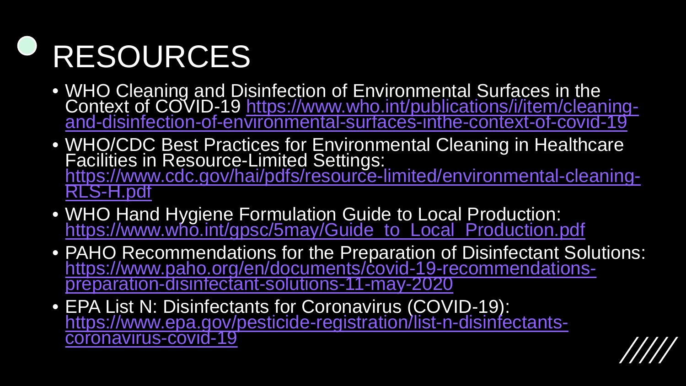# RESOURCES

- WHO Cleaning and Disinfection of Environmental Surfaces in the<br>Context of COVID-19 https://www.who.int/publications/i/item/cleaningand-disinfection-of-environmental-surfaces-inthe-context-of-covid-19
- WHO/CDC Best Practices for Environmental Cleaning in Healthcare Facilities in Resource-Limited Settings:<br>https://www.cdc.gov/hai/pdfs/resource-limited/environmental-cleaning-<br><u>RLS-H.pdf</u>
- WHO Hand Hygiene Formulation Guide to Local Production: [https://www.who.int/gpsc/5may/Guide\\_to\\_Local\\_Production.pdf](https://www.who.int/gpsc/5may/Guide_to_Local_Production.pdf)
- PAHO Recommendations for the Preparation of Disinfectant Solutions: [https://www.paho.org/en/documents/covid-19-recommendations-](https://www.paho.org/en/documents/covid-19-recommendations-preparation-disinfectant-solutions-11-may-2020) preparation-disinfectant-solutions-11-may-2020
- EPA List N: Disinfectants for Coronavirus (COVID-19):<br>https://www.epa.gov/pesticide-registration/list-n-disinfectants-<br>coronavirus-covid-19